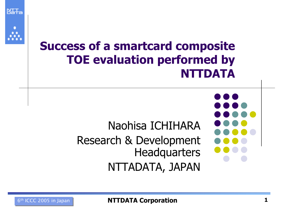

**NIT-**

### Success of a smartcard composite TOE evaluation performed by NTTDATA



Research & Development **Headquarters** 

NTTADATA, JAPAN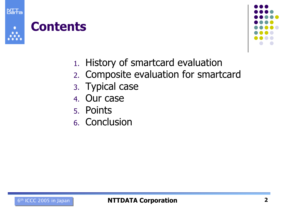

### **Contents**



- 1. History of smartcard evaluation
- 2. Composite evaluation for smartcard
- 3. Typical case
- 4. Our case
- 5. Points
- 6. Conclusion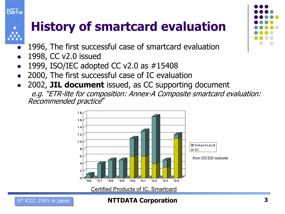

### History of smartcard evaluation

- $\bullet$ 1996, The first successful case of smartcard evaluation
- $\bullet$ 1998, CC v2.0 issued
- $\bullet$ 1999, ISO/IEC adopted CC v2.0 as #15408
- $\bullet$ 2000, The first successful case of IC evaluation
- $\bullet$ 2002, JIL document issued, as CC supporting document e.g. "ETR-lite for composition: Annex-A Composite smartcard evaluation: Recommended practice"





#### $6<sup>th</sup>$  ICCC 2005 in Japan **ICCC 2005 in Japan ICCC 2005 in Japan ICCC**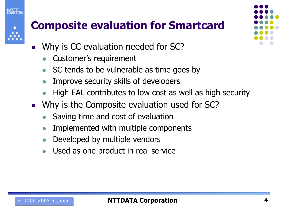- $\bullet$  Why is CC evaluation needed for SC?
	- $\bullet$ Customer's requirement
	- $\bullet$ SC tends to be vulnerable as time goes by
	- $\bullet$ Improve security skills of developers
	- $\bullet$ High EAL contributes to low cost as well as high security
- $\bullet$  Why is the Composite evaluation used for SC?
	- $\bullet$ Saving time and cost of evaluation
	- $\bullet$ Implemented with multiple components
	- $\bullet$ Developed by multiple vendors
	- $\bullet$ Used as one product in real service



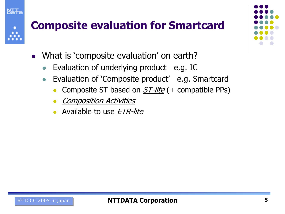- $\bullet$  What is 'composite evaluation' on earth?
	- $\bullet$ Evaluation of underlying product e.g. IC
	- $\bullet$  Evaluation of 'Composite product' e.g. Smartcard
		- $\bullet$ Composite ST based on  $ST$ -lite (+ compatible PPs)
		- $\bullet$ Composition Activities

**NATA** 

 $\bullet$ Available to use *ETR-lite*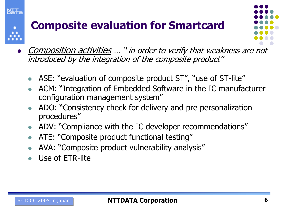

 $\bullet$ Composition activities ... " in order to verify that weakness are not introduced by the integration of the composite product"

- ASE: "evaluation of composite product ST", "use of <u>ST-lite</u>"
- $\bullet$  ACM: "Integration of Embedded Software in the IC manufacturer configuration management system"
- $\bullet$  ADO: "Consistency check for delivery and pre personalization procedures"
- $\bullet$ ADV: "Compliance with the IC developer recommendations"
- $\bullet$ ATE: "Composite product functional testing"
- $\bullet$ AVA: "Composite product vulnerability analysis"
- $\bullet$ Use of ETR-lite

NIT-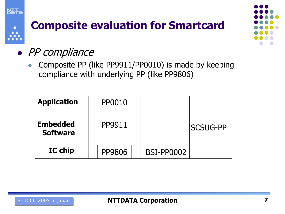



#### $\bullet$  PP compliance

 $\bullet$  Composite PP (like PP9911/PP0010) is made by keeping compliance with underlying PP (like PP9806)

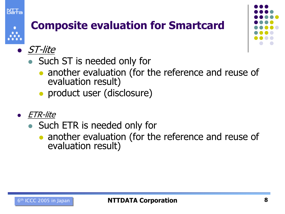





- ST-lite
	- Such ST is needed only for
		- another evaluation (for the reference and reuse of evaluation result)
		- product user (disclosure)
- $\bullet$  ETR-lite
	- Such ETR is needed only for
		- another evaluation (for the reference and reuse of evaluation result)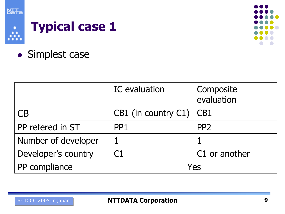

Å

## Typical case 1



• Simplest case

|                     | IC evaluation                 | <b>Composite</b><br>evaluation |
|---------------------|-------------------------------|--------------------------------|
| СB                  | CB1 (in country $C1$ ) $ CB1$ |                                |
| PP refered in ST    | PP <sub>1</sub>               | PP <sub>2</sub>                |
| Number of developer |                               |                                |
| Developer's country | C1                            | C1 or another                  |
| PP compliance       | Yes                           |                                |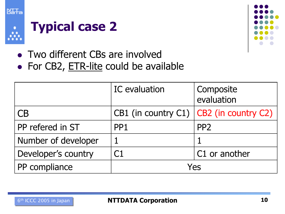





- Two different CBs are involved
- For CB2, ETR-lite could be available

|                     | IC evaluation                               | Composite<br>evaluation |
|---------------------|---------------------------------------------|-------------------------|
| CB                  | CB1 (in country C1) $ $ CB2 (in country C2) |                         |
| PP refered in ST    | PP <sub>1</sub>                             | PP <sub>2</sub>         |
| Number of developer |                                             |                         |
| Developer's country |                                             | C1 or another           |
| PP compliance       | Yes                                         |                         |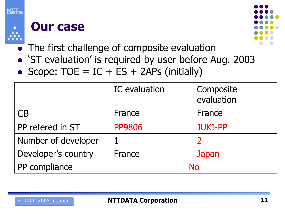

#### Our case



- The first challenge of composite evaluation
- 'ST evaluation' is required by user before Aug. 2003
- $\bullet$ Scope:  $TOE = IC + ES + 2APS (initially)$

|                     | <b>IC</b> evaluation | Composite<br>evaluation |
|---------------------|----------------------|-------------------------|
| CB                  | France               | France                  |
| PP refered in ST    | <b>PP9806</b>        | <b>JUKI-PP</b>          |
| Number of developer |                      | 2                       |
| Developer's country | France               | Japan                   |
| PP compliance       | <b>No</b>            |                         |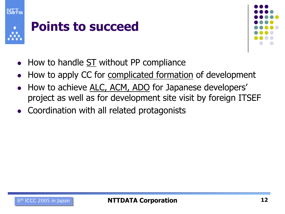



- How to handle ST without PP compliance
- $\bullet$ How to apply CC for complicated formation of development
- $\bullet$  How to achieve ALC, ACM, ADO for Japanese developers' project as well as for development site visit by foreign ITSEF
- Coordination with all related protagonists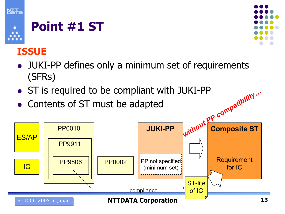

## Point #1 ST

#### ISSUE

- JUKI-PP defines only a minimum set of requirements (SFRs)
- ST is required to be compliant with JUKI-PP
- Contents of ST must be adapted



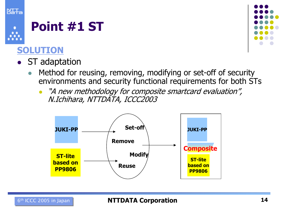





- ST adaptation
	- $\bullet$  Method for reusing, removing, modifying or set-off of security environments and security functional requirements for both STs
		- $\bullet$  "A new methodology for composite smartcard evaluation", N.Ichihara, NTTDATA, ICCC2003

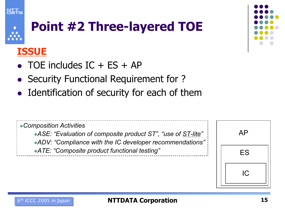### Point #2 Three-layered TOE

#### ISSUE

- $\bullet$  TOE includes IC + ES + AP
- $\bullet$ Security Functional Requirement for ?
- Identification of security for each of them





#### $6<sup>th</sup>$  ICCC 2005 in Japan  $\begin{array}{ccc} \hline \textbf{I5} & \textbf{I5} \end{array}$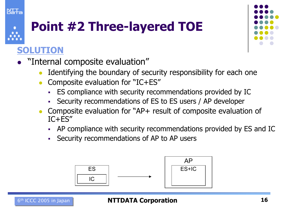# Point #2 Three-layered TOE

#### SOLUTION

**NIT-**

- "Internal composite evaluation"
	- $\bullet$ Identifying the boundary of security responsibility for each one
	- $\bullet$  Composite evaluation for "IC+ES"
		- -ES compliance with security recommendations provided by IC
		- Security recommendations of ES to ES users / AP developer
	- $\bullet$  Composite evaluation for "AP+ result of composite evaluation of IC+ES"
		- -AP compliance with security recommendations provided by ES and IC
		- -Security recommendations of AP to AP users

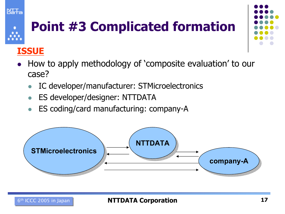

## Point #3 Complicated formation

#### ISSUE

- $\bullet$  How to apply methodology of 'composite evaluation' to our case?
	- $\bullet$ IC developer/manufacturer: STMicroelectronics
	- $\bullet$ ES developer/designer: NTTDATA
	- $\bullet$ ES coding/card manufacturing: company-A

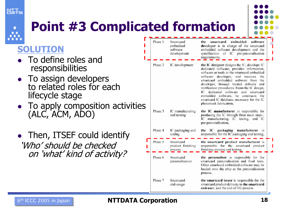



#### SOLUTION

- $\bullet$  To define roles and responsibilities
- To assign developers to related roles for each lifecycle stage
- To apply composition activities (ALC, ACM, ADO)
- $\bullet$  Then, ITSEF could identify 'Who' should be checkedon 'what' kind of activity?

|         |                                                  | ted formation                                                                                                                                                                                                                                                                                                                                                                                                                                                                       |
|---------|--------------------------------------------------|-------------------------------------------------------------------------------------------------------------------------------------------------------------------------------------------------------------------------------------------------------------------------------------------------------------------------------------------------------------------------------------------------------------------------------------------------------------------------------------|
| Phase 1 | Smartcard<br>embedded<br>software<br>development | embedded<br>the<br>smartcard<br>software<br>developer is in charge of the smartcard<br>embedded software development and the<br>specification of IC pre-personalisation<br>requirements,                                                                                                                                                                                                                                                                                            |
| Phase 2 | IC development                                   | the IC designer designs the IC, develops IC<br>dedicated software, provides information,<br>software or tools to the smartcard embedded<br>software<br>developer, and receives<br>the<br>smartcard embedded software from the<br>developer, through trusted delivery and<br>verification procedures. From the IC design,<br>IC dedicated software<br>and smartcard<br>embedded software, he constructs the<br>smartcard IC database, necessary for the IC<br>photomask fabrication, |
| Phase 3 | IC manufacturing<br>and testing                  | the IC manufacturer is responsible for<br>producing the IC through three main steps:<br>IC manufacturing, IC testing,<br>and IC<br>pre-personalisation,                                                                                                                                                                                                                                                                                                                             |
| Phase 4 | IC packaging and<br>testing                      | packaging<br>the<br>Ю<br>manufacturer is<br>responsible for the IC packaging and testing,                                                                                                                                                                                                                                                                                                                                                                                           |
| Phase 5 | Smartcard<br>product finishing<br>process        | the smartcard product manufacturer is<br>responsible for the smartcard product<br>finishing process and testing.                                                                                                                                                                                                                                                                                                                                                                    |
| Phase 6 | Smartcard<br>personalisation                     | the personaliser is responsible for the<br>smartcard personalisation and final tests.<br>Other smartcard embedded software may be<br>loaded onto the chip at the personalisation<br>process.                                                                                                                                                                                                                                                                                        |
| Phase 7 | Smartcard<br>end-usage                           | the smartcard issuer is responsible for the<br>smartcard product delivery to the smartcard<br>end-user, and the end of life process.                                                                                                                                                                                                                                                                                                                                                |

#### $6<sup>th</sup>$  ICCC 2005 in Japan **ICCC** 2005 in Japan **ICCC** 2005 in Japan **ICCC** 2005 in Japan  $\blacksquare$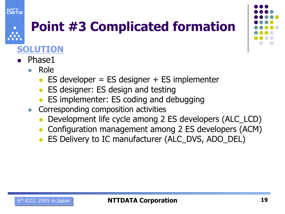

### Point #3 Complicated formation



- $\bullet$  Phase1
	- $\bullet$  Role
		- $\bullet$  ES developer = ES designer + ES implementer
		- $\bullet$ ES designer: ES design and testing
		- $\bullet$ ES implementer: ES coding and debugging
	- Corresponding composition activities
		- $\bullet$ Development life cycle among 2 ES developers (ALC\_LCD)
		- $\bullet$ Configuration management among 2 ES developers (ACM)
		- $\bullet$ ES Delivery to IC manufacturer (ALC\_DVS, ADO\_DEL)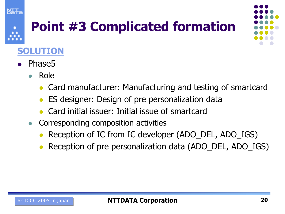

### Point #3 Complicated formation



- $\bullet$  Phase5
	- $\bullet$  Role
		- $\bullet$ Card manufacturer: Manufacturing and testing of smartcard
		- $\bullet$ ES designer: Design of pre personalization data
		- $\bullet$ Card initial issuer: Initial issue of smartcard
	- $\bullet$  Corresponding composition activities
		- $\bullet$ Reception of IC from IC developer (ADO\_DEL, ADO\_IGS)
		- $\bullet$ Reception of pre personalization data (ADO\_DEL, ADO\_IGS)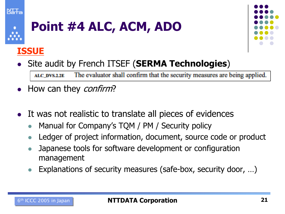



### Point #4 ALC, ACM, ADO

#### ISSUE



 $\bullet$ Site audit by French ITSEF (SERMA Technologies)

The evaluator shall confirm that the security measures are being applied. ALC\_DVS.2.2E

- How can they *confirm*?
- $\bullet$  It was not realistic to translate all pieces of evidences
	- $\bullet$ Manual for Company's TQM / PM / Security policy
	- $\bullet$ Ledger of project information, document, source code or product
	- $\bullet$  Japanese tools for software development or configuration management
	- $\bullet$ Explanations of security measures (safe-box, security door, …)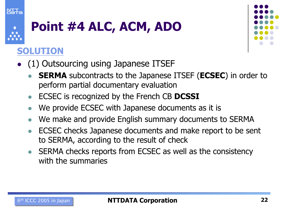

### Point #4 ALC, ACM, ADO

- $\bullet$  (1) Outsourcing using Japanese ITSEF
	- $\bullet$ **SERMA** subcontracts to the Japanese ITSEF (**ECSEC**) in order to perform partial documentary evaluation
	- $\bullet$ ECSEC is recognized by the French CB DCSSI
	- $\bullet$ We provide ECSEC with Japanese documents as it is
	- $\bullet$ We make and provide English summary documents to SERMA
	- $\bullet$  ECSEC checks Japanese documents and make report to be sent to SERMA, according to the result of check
	- $\bullet$  SERMA checks reports from ECSEC as well as the consistency with the summaries

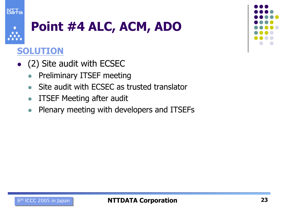

### Point #4 ALC, ACM, ADO

- $\bullet$  (2) Site audit with ECSEC
	- $\bullet$ Preliminary ITSEF meeting
	- $\bullet$ Site audit with ECSEC as trusted translator
	- $\bullet$ ITSEF Meeting after audit
	- $\bullet$ Plenary meeting with developers and ITSEFs

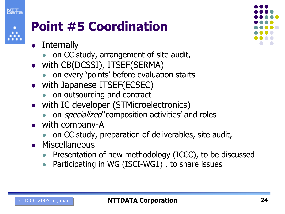



### Point #5 Coordination

- $\bullet$ **Internally** 
	- $\bullet$ on CC study, arrangement of site audit,
- with CB(DCSSI), ITSEF(SERMA)
	- $\bullet$ on every 'points' before evaluation starts
- with Japanese ITSEF(ECSEC)
	- $\bullet$ on outsourcing and contract
- with IC developer (STMicroelectronics)
	- $\bullet$ on *specialized* 'composition activities' and roles
- with company-A
	- $\bullet$ on CC study, preparation of deliverables, site audit,
- **•** Miscellaneous
	- Presentation of new methodology (ICCC), to be discussed
	- $\bullet$ Participating in WG (ISCI-WG1) , to share issues

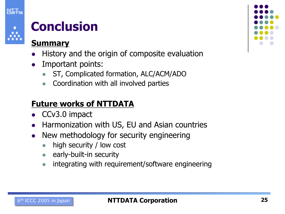



### **Conclusion**

#### Summary

- $\bullet$ History and the origin of composite evaluation
- $\bullet$  Important points:
	- $\bullet$ ST, Complicated formation, ALC/ACM/ADO
	- $\bullet$ Coordination with all involved parties

#### Future works of NTTDATA

- $\bullet$ CCv3.0 impact
- $\bullet$ Harmonization with US, EU and Asian countries
- $\bullet$  New methodology for security engineering
	- $\bullet$ high security / low cost
	- $\bullet$ early-built-in security
	- $\bullet$ integrating with requirement/software engineering